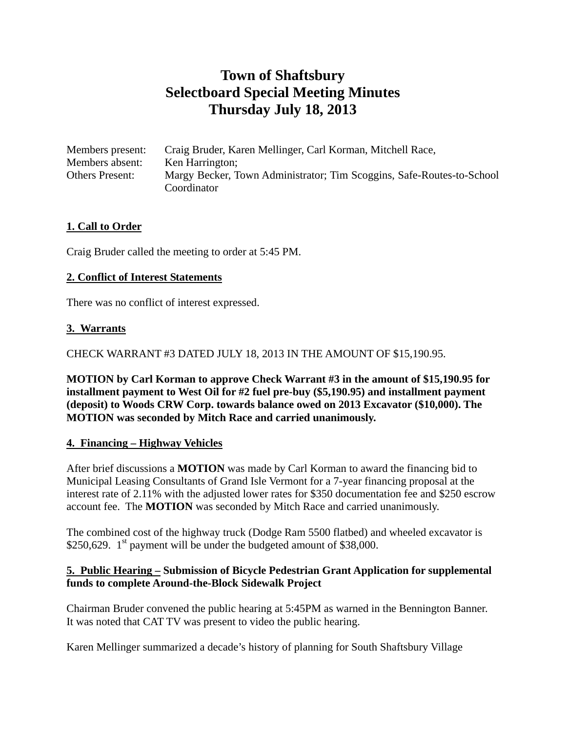# **Town of Shaftsbury Selectboard Special Meeting Minutes Thursday July 18, 2013**

| Members present:       | Craig Bruder, Karen Mellinger, Carl Korman, Mitchell Race,            |
|------------------------|-----------------------------------------------------------------------|
| Members absent:        | Ken Harrington;                                                       |
| <b>Others Present:</b> | Margy Becker, Town Administrator; Tim Scoggins, Safe-Routes-to-School |
|                        | Coordinator                                                           |

# **1. Call to Order**

Craig Bruder called the meeting to order at 5:45 PM.

# **2. Conflict of Interest Statements**

There was no conflict of interest expressed.

## **3. Warrants**

CHECK WARRANT #3 DATED JULY 18, 2013 IN THE AMOUNT OF \$15,190.95.

**MOTION by Carl Korman to approve Check Warrant #3 in the amount of \$15,190.95 for installment payment to West Oil for #2 fuel pre-buy (\$5,190.95) and installment payment (deposit) to Woods CRW Corp. towards balance owed on 2013 Excavator (\$10,000). The MOTION was seconded by Mitch Race and carried unanimously.** 

#### **4. Financing – Highway Vehicles**

After brief discussions a **MOTION** was made by Carl Korman to award the financing bid to Municipal Leasing Consultants of Grand Isle Vermont for a 7-year financing proposal at the interest rate of 2.11% with the adjusted lower rates for \$350 documentation fee and \$250 escrow account fee. The **MOTION** was seconded by Mitch Race and carried unanimously.

The combined cost of the highway truck (Dodge Ram 5500 flatbed) and wheeled excavator is \$250,629.  $1<sup>st</sup>$  payment will be under the budgeted amount of \$38,000.

## **5. Public Hearing – Submission of Bicycle Pedestrian Grant Application for supplemental funds to complete Around-the-Block Sidewalk Project**

Chairman Bruder convened the public hearing at 5:45PM as warned in the Bennington Banner. It was noted that CAT TV was present to video the public hearing.

Karen Mellinger summarized a decade's history of planning for South Shaftsbury Village